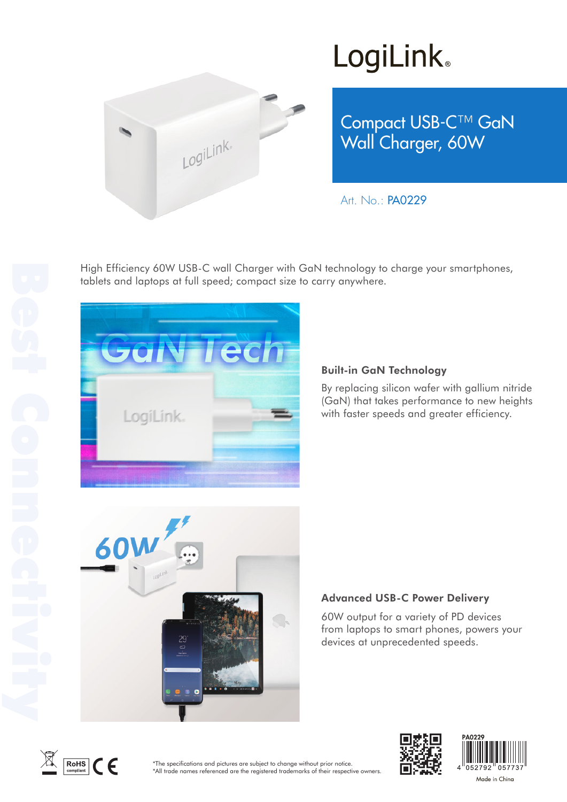

## **LogiLink**

Compact USB-C™ GaN Wall Charger, 60W

Art. No.: PA0229

High Efficiency 60W USB-C wall Charger with GaN technology to charge your smartphones, tablets and laptops at full speed; compact size to carry anywhere.



### Built-in GaN Technology

By replacing silicon wafer with gallium nitride (GaN) that takes performance to new heights with faster speeds and greater efficiency.



### Advanced USB-C Power Delivery

60W output for a variety of PD devices from laptops to smart phones, powers your devices at unprecedented speeds.







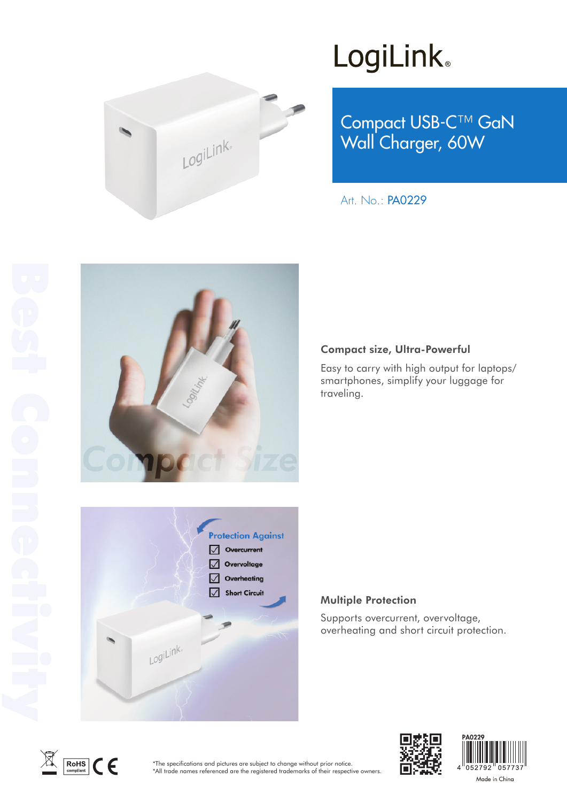

# LogiLink<sup>®</sup>

Compact USB-C™ GaN Wall Charger, 60W

Art. No.: PA0229



#### Compact size, Ultra-Powerful

Easy to carry with high output for laptops/ smartphones, simplify your luggage for traveling.



### Multiple Protection

Supports overcurrent, overvoltage, overheating and short circuit protection.



\*The specifications and pictures are subject to change without prior notice. \*All trade names referenced are the registered trademarks of their respective owners.



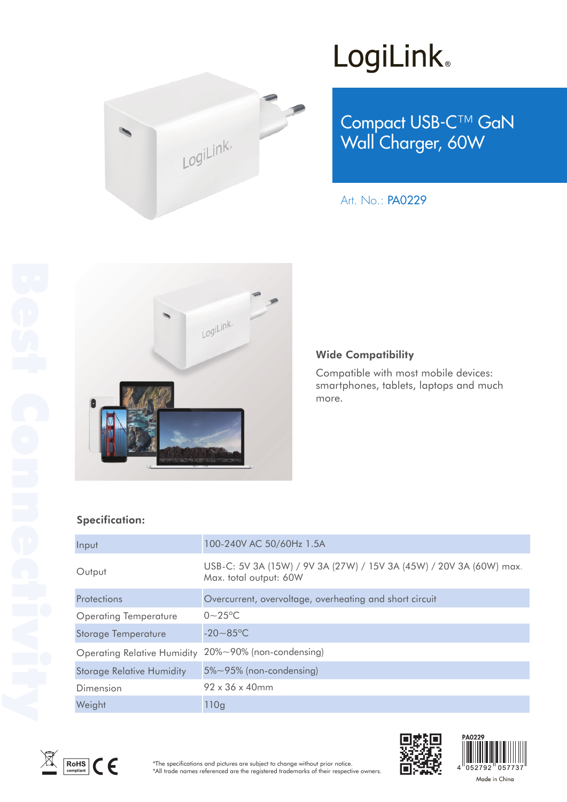

# LogiLink<sup>®</sup>

Compact USB-C™ GaN Wall Charger, 60W

Art. No.: PA0229



#### Wide Compatibility

Compatible with most mobile devices: smartphones, tablets, laptops and much more.

### Specification:

| Input                              | 100-240V AC 50/60Hz 1.5A                                                                      |
|------------------------------------|-----------------------------------------------------------------------------------------------|
| Output                             | USB-C: 5V 3A (15W) / 9V 3A (27W) / 15V 3A (45W) / 20V 3A (60W) max.<br>Max. total output: 60W |
| <b>Protections</b>                 | Overcurrent, overvoltage, overheating and short circuit                                       |
| <b>Operating Temperature</b>       | $0 - 25$ °C                                                                                   |
| <b>Storage Temperature</b>         | $-20 - 85$ °C                                                                                 |
| <b>Operating Relative Humidity</b> | 20%~90% (non-condensing)                                                                      |
| <b>Storage Relative Humidity</b>   | 5%~95% (non-condensing)                                                                       |
| Dimension                          | $92 \times 36 \times 40$ mm                                                                   |
| Weight                             | 110g                                                                                          |